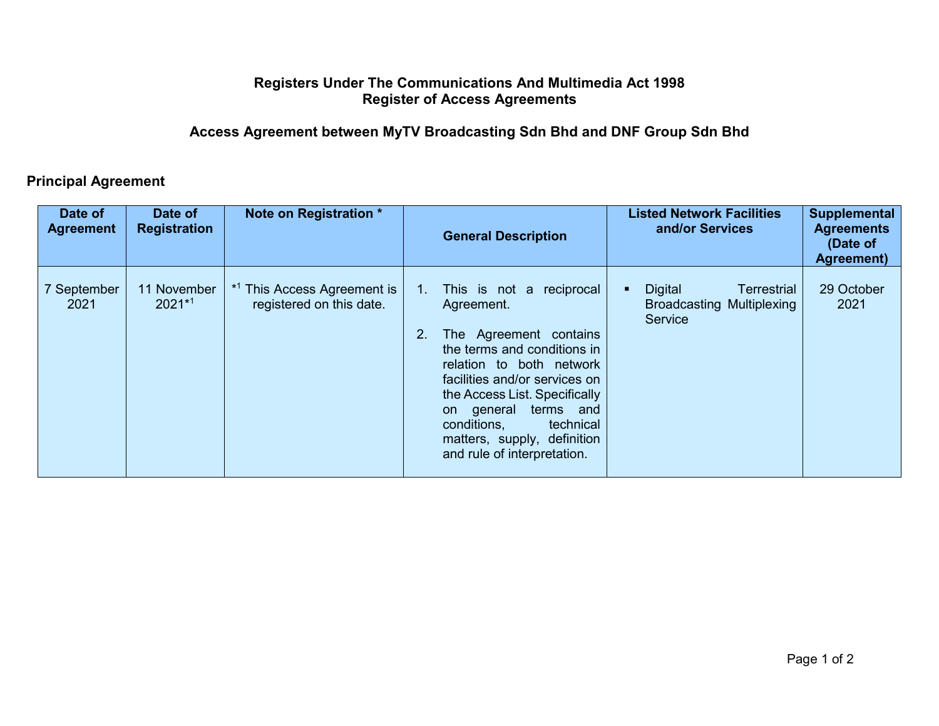## **Registers Under The Communications And Multimedia Act 1998 Register of Access Agreements**

## **Access Agreement between MyTV Broadcasting Sdn Bhd and DNF Group Sdn Bhd**

## **Principal Agreement**

| Date of<br><b>Agreement</b> | Date of<br><b>Registration</b> | Note on Registration *                                             |    | <b>General Description</b>                                                                                                                                                                                                                                                                                            | <b>Listed Network Facilities</b><br>and/or Services                          | <b>Supplemental</b><br><b>Agreements</b><br>(Date of<br><b>Agreement</b> ) |
|-----------------------------|--------------------------------|--------------------------------------------------------------------|----|-----------------------------------------------------------------------------------------------------------------------------------------------------------------------------------------------------------------------------------------------------------------------------------------------------------------------|------------------------------------------------------------------------------|----------------------------------------------------------------------------|
| 7 September<br>2021         | 11 November<br>$2021*1$        | <sup>*1</sup> This Access Agreement is<br>registered on this date. | 2. | 1. This is not a reciprocal<br>Agreement.<br>The Agreement contains<br>the terms and conditions in<br>relation to both network<br>facilities and/or services on<br>the Access List. Specifically<br>terms and<br>on general<br>conditions,<br>technical<br>matters, supply, definition<br>and rule of interpretation. | <b>Digital</b><br>Terrestrial<br><b>Broadcasting Multiplexing</b><br>Service | 29 October<br>2021                                                         |